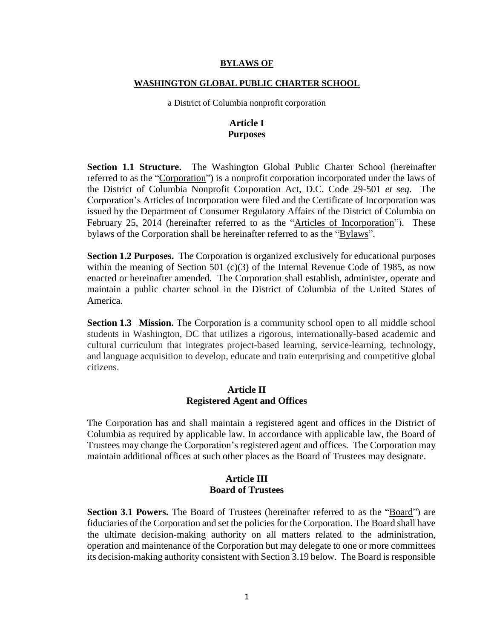#### **BYLAWS OF**

#### **WASHINGTON GLOBAL PUBLIC CHARTER SCHOOL**

a District of Columbia nonprofit corporation

### **Article I Purposes**

**Section 1.1 Structure.** The Washington Global Public Charter School (hereinafter referred to as the "Corporation") is a nonprofit corporation incorporated under the laws of the District of Columbia Nonprofit Corporation Act, D.C. Code 29-501 *et seq.* The Corporation's Articles of Incorporation were filed and the Certificate of Incorporation was issued by the Department of Consumer Regulatory Affairs of the District of Columbia on February 25, 2014 (hereinafter referred to as the "Articles of Incorporation"). These bylaws of the Corporation shall be hereinafter referred to as the "Bylaws".

**Section 1.2 Purposes.** The Corporation is organized exclusively for educational purposes within the meaning of Section 501 (c)(3) of the Internal Revenue Code of 1985, as now enacted or hereinafter amended. The Corporation shall establish, administer, operate and maintain a public charter school in the District of Columbia of the United States of America.

**Section 1.3 Mission.** The Corporation is a community school open to all middle school students in Washington, DC that utilizes a rigorous, internationally-based academic and cultural curriculum that integrates project-based learning, service-learning, technology, and language acquisition to develop, educate and train enterprising and competitive global citizens.

#### **Article II Registered Agent and Offices**

The Corporation has and shall maintain a registered agent and offices in the District of Columbia as required by applicable law. In accordance with applicable law, the Board of Trustees may change the Corporation's registered agent and offices. The Corporation may maintain additional offices at such other places as the Board of Trustees may designate.

### **Article III Board of Trustees**

**Section 3.1 Powers.** The Board of Trustees (hereinafter referred to as the "Board") are fiduciaries of the Corporation and set the policies for the Corporation. The Board shall have the ultimate decision-making authority on all matters related to the administration, operation and maintenance of the Corporation but may delegate to one or more committees its decision-making authority consistent with Section 3.19 below. The Board is responsible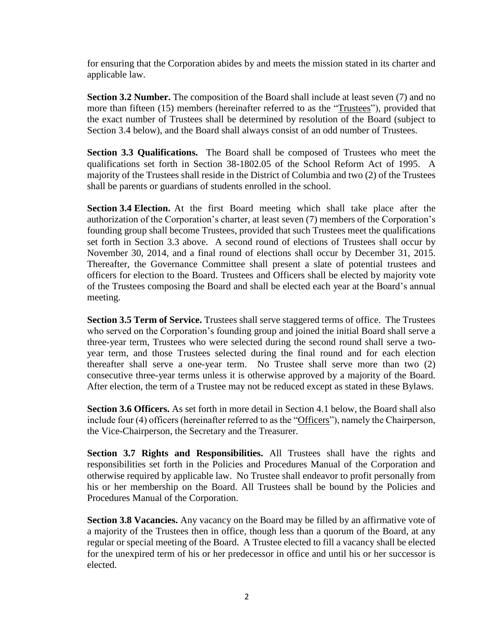for ensuring that the Corporation abides by and meets the mission stated in its charter and applicable law.

**Section 3.2 Number.** The composition of the Board shall include at least seven (7) and no more than fifteen (15) members (hereinafter referred to as the "Trustees"), provided that the exact number of Trustees shall be determined by resolution of the Board (subject to Section 3.4 below), and the Board shall always consist of an odd number of Trustees.

**Section 3.3 Qualifications.** The Board shall be composed of Trustees who meet the qualifications set forth in Section 38-1802.05 of the School Reform Act of 1995. A majority of the Trustees shall reside in the District of Columbia and two (2) of the Trustees shall be parents or guardians of students enrolled in the school.

**Section 3.4 Election.** At the first Board meeting which shall take place after the authorization of the Corporation's charter, at least seven (7) members of the Corporation's founding group shall become Trustees, provided that such Trustees meet the qualifications set forth in Section 3.3 above. A second round of elections of Trustees shall occur by November 30, 2014, and a final round of elections shall occur by December 31, 2015. Thereafter, the Governance Committee shall present a slate of potential trustees and officers for election to the Board. Trustees and Officers shall be elected by majority vote of the Trustees composing the Board and shall be elected each year at the Board's annual meeting.

**Section 3.5 Term of Service.** Trustees shall serve staggered terms of office. The Trustees who served on the Corporation's founding group and joined the initial Board shall serve a three-year term, Trustees who were selected during the second round shall serve a twoyear term, and those Trustees selected during the final round and for each election thereafter shall serve a one-year term. No Trustee shall serve more than two (2) consecutive three-year terms unless it is otherwise approved by a majority of the Board. After election, the term of a Trustee may not be reduced except as stated in these Bylaws.

**Section 3.6 Officers.** As set forth in more detail in Section 4.1 below, the Board shall also include four (4) officers (hereinafter referred to as the "Officers"), namely the Chairperson, the Vice-Chairperson, the Secretary and the Treasurer.

**Section 3.7 Rights and Responsibilities.** All Trustees shall have the rights and responsibilities set forth in the Policies and Procedures Manual of the Corporation and otherwise required by applicable law. No Trustee shall endeavor to profit personally from his or her membership on the Board. All Trustees shall be bound by the Policies and Procedures Manual of the Corporation.

**Section 3.8 Vacancies.** Any vacancy on the Board may be filled by an affirmative vote of a majority of the Trustees then in office, though less than a quorum of the Board, at any regular or special meeting of the Board. A Trustee elected to fill a vacancy shall be elected for the unexpired term of his or her predecessor in office and until his or her successor is elected.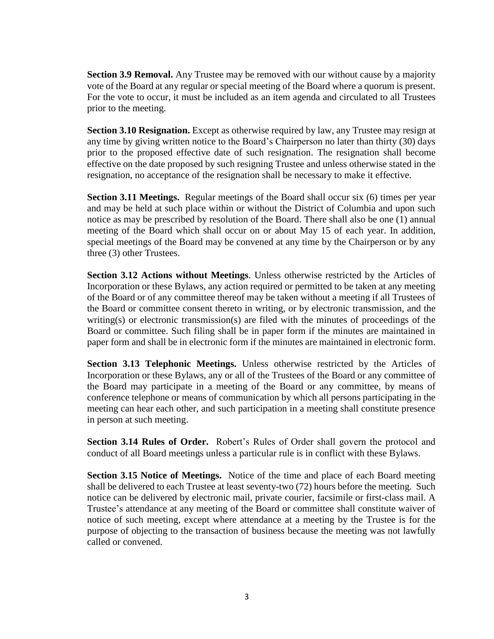**Section 3.9 Removal.** Any Trustee may be removed with our without cause by a majority vote of the Board at any regular or special meeting of the Board where a quorum is present. For the vote to occur, it must be included as an item agenda and circulated to all Trustees prior to the meeting.

**Section 3.10 Resignation.** Except as otherwise required by law, any Trustee may resign at any time by giving written notice to the Board's Chairperson no later than thirty (30) days prior to the proposed effective date of such resignation. The resignation shall become effective on the date proposed by such resigning Trustee and unless otherwise stated in the resignation, no acceptance of the resignation shall be necessary to make it effective.

**Section 3.11 Meetings.** Regular meetings of the Board shall occur six (6) times per year and may be held at such place within or without the District of Columbia and upon such notice as may be prescribed by resolution of the Board. There shall also be one (1) annual meeting of the Board which shall occur on or about May 15 of each year. In addition, special meetings of the Board may be convened at any time by the Chairperson or by any three (3) other Trustees.

**Section 3.12 Actions without Meetings**. Unless otherwise restricted by the Articles of Incorporation or these Bylaws, any action required or permitted to be taken at any meeting of the Board or of any committee thereof may be taken without a meeting if all Trustees of the Board or committee consent thereto in writing, or by electronic transmission, and the writing(s) or electronic transmission(s) are filed with the minutes of proceedings of the Board or committee. Such filing shall be in paper form if the minutes are maintained in paper form and shall be in electronic form if the minutes are maintained in electronic form.

**Section 3.13 Telephonic Meetings.** Unless otherwise restricted by the Articles of Incorporation or these Bylaws, any or all of the Trustees of the Board or any committee of the Board may participate in a meeting of the Board or any committee, by means of conference telephone or means of communication by which all persons participating in the meeting can hear each other, and such participation in a meeting shall constitute presence in person at such meeting.

**Section 3.14 Rules of Order.** Robert's Rules of Order shall govern the protocol and conduct of all Board meetings unless a particular rule is in conflict with these Bylaws.

**Section 3.15 Notice of Meetings.** Notice of the time and place of each Board meeting shall be delivered to each Trustee at least seventy-two (72) hours before the meeting. Such notice can be delivered by electronic mail, private courier, facsimile or first-class mail. A Trustee's attendance at any meeting of the Board or committee shall constitute waiver of notice of such meeting, except where attendance at a meeting by the Trustee is for the purpose of objecting to the transaction of business because the meeting was not lawfully called or convened.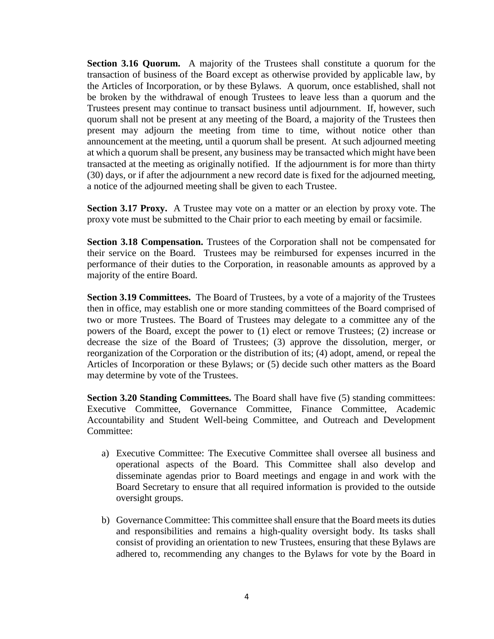**Section 3.16 Quorum.** A majority of the Trustees shall constitute a quorum for the transaction of business of the Board except as otherwise provided by applicable law, by the Articles of Incorporation, or by these Bylaws. A quorum, once established, shall not be broken by the withdrawal of enough Trustees to leave less than a quorum and the Trustees present may continue to transact business until adjournment. If, however, such quorum shall not be present at any meeting of the Board, a majority of the Trustees then present may adjourn the meeting from time to time, without notice other than announcement at the meeting, until a quorum shall be present. At such adjourned meeting at which a quorum shall be present, any business may be transacted which might have been transacted at the meeting as originally notified. If the adjournment is for more than thirty (30) days, or if after the adjournment a new record date is fixed for the adjourned meeting, a notice of the adjourned meeting shall be given to each Trustee.

**Section 3.17 Proxy.** A Trustee may vote on a matter or an election by proxy vote. The proxy vote must be submitted to the Chair prior to each meeting by email or facsimile.

**Section 3.18 Compensation.** Trustees of the Corporation shall not be compensated for their service on the Board. Trustees may be reimbursed for expenses incurred in the performance of their duties to the Corporation, in reasonable amounts as approved by a majority of the entire Board.

Section 3.19 Committees. The Board of Trustees, by a vote of a majority of the Trustees then in office, may establish one or more standing committees of the Board comprised of two or more Trustees. The Board of Trustees may delegate to a committee any of the powers of the Board, except the power to (1) elect or remove Trustees; (2) increase or decrease the size of the Board of Trustees; (3) approve the dissolution, merger, or reorganization of the Corporation or the distribution of its; (4) adopt, amend, or repeal the Articles of Incorporation or these Bylaws; or (5) decide such other matters as the Board may determine by vote of the Trustees.

**Section 3.20 Standing Committees.** The Board shall have five (5) standing committees: Executive Committee, Governance Committee, Finance Committee, Academic Accountability and Student Well-being Committee, and Outreach and Development Committee:

- a) Executive Committee: The Executive Committee shall oversee all business and operational aspects of the Board. This Committee shall also develop and disseminate agendas prior to Board meetings and engage in and work with the Board Secretary to ensure that all required information is provided to the outside oversight groups.
- b) Governance Committee: This committee shall ensure that the Board meets its duties and responsibilities and remains a high-quality oversight body. Its tasks shall consist of providing an orientation to new Trustees, ensuring that these Bylaws are adhered to, recommending any changes to the Bylaws for vote by the Board in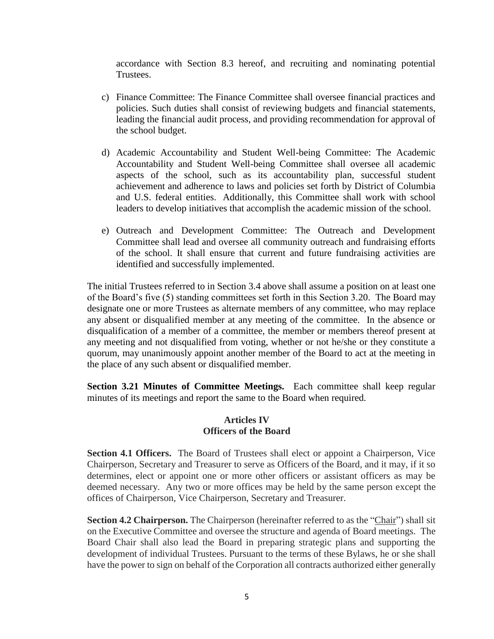accordance with Section 8.3 hereof, and recruiting and nominating potential Trustees.

- c) Finance Committee: The Finance Committee shall oversee financial practices and policies. Such duties shall consist of reviewing budgets and financial statements, leading the financial audit process, and providing recommendation for approval of the school budget.
- d) Academic Accountability and Student Well-being Committee: The Academic Accountability and Student Well-being Committee shall oversee all academic aspects of the school, such as its accountability plan, successful student achievement and adherence to laws and policies set forth by District of Columbia and U.S. federal entities. Additionally, this Committee shall work with school leaders to develop initiatives that accomplish the academic mission of the school.
- e) Outreach and Development Committee: The Outreach and Development Committee shall lead and oversee all community outreach and fundraising efforts of the school. It shall ensure that current and future fundraising activities are identified and successfully implemented.

The initial Trustees referred to in Section 3.4 above shall assume a position on at least one of the Board's five (5) standing committees set forth in this Section 3.20. The Board may designate one or more Trustees as alternate members of any committee, who may replace any absent or disqualified member at any meeting of the committee. In the absence or disqualification of a member of a committee, the member or members thereof present at any meeting and not disqualified from voting, whether or not he/she or they constitute a quorum, may unanimously appoint another member of the Board to act at the meeting in the place of any such absent or disqualified member.

**Section 3.21 Minutes of Committee Meetings.** Each committee shall keep regular minutes of its meetings and report the same to the Board when required.

### **Articles IV Officers of the Board**

**Section 4.1 Officers.** The Board of Trustees shall elect or appoint a Chairperson, Vice Chairperson, Secretary and Treasurer to serve as Officers of the Board, and it may, if it so determines, elect or appoint one or more other officers or assistant officers as may be deemed necessary. Any two or more offices may be held by the same person except the offices of Chairperson, Vice Chairperson, Secretary and Treasurer.

**Section 4.2 Chairperson.** The Chairperson (hereinafter referred to as the "Chair") shall sit on the Executive Committee and oversee the structure and agenda of Board meetings. The Board Chair shall also lead the Board in preparing strategic plans and supporting the development of individual Trustees. Pursuant to the terms of these Bylaws, he or she shall have the power to sign on behalf of the Corporation all contracts authorized either generally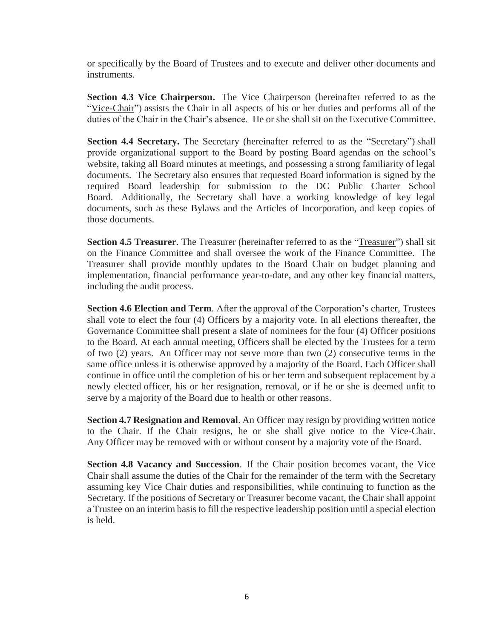or specifically by the Board of Trustees and to execute and deliver other documents and instruments.

**Section 4.3 Vice Chairperson.** The Vice Chairperson (hereinafter referred to as the "Vice-Chair") assists the Chair in all aspects of his or her duties and performs all of the duties of the Chair in the Chair's absence. He or she shall sit on the Executive Committee.

Section 4.4 Secretary. The Secretary (hereinafter referred to as the "Secretary") shall provide organizational support to the Board by posting Board agendas on the school's website, taking all Board minutes at meetings, and possessing a strong familiarity of legal documents. The Secretary also ensures that requested Board information is signed by the required Board leadership for submission to the DC Public Charter School Board. Additionally, the Secretary shall have a working knowledge of key legal documents, such as these Bylaws and the Articles of Incorporation, and keep copies of those documents.

Section 4.5 Treasurer. The Treasurer (hereinafter referred to as the "Treasurer") shall sit on the Finance Committee and shall oversee the work of the Finance Committee. The Treasurer shall provide monthly updates to the Board Chair on budget planning and implementation, financial performance year-to-date, and any other key financial matters, including the audit process.

**Section 4.6 Election and Term.** After the approval of the Corporation's charter, Trustees shall vote to elect the four (4) Officers by a majority vote. In all elections thereafter, the Governance Committee shall present a slate of nominees for the four (4) Officer positions to the Board. At each annual meeting, Officers shall be elected by the Trustees for a term of two (2) years. An Officer may not serve more than two (2) consecutive terms in the same office unless it is otherwise approved by a majority of the Board. Each Officer shall continue in office until the completion of his or her term and subsequent replacement by a newly elected officer, his or her resignation, removal, or if he or she is deemed unfit to serve by a majority of the Board due to health or other reasons.

**Section 4.7 Resignation and Removal**. An Officer may resign by providing written notice to the Chair. If the Chair resigns, he or she shall give notice to the Vice-Chair. Any Officer may be removed with or without consent by a majority vote of the Board.

**Section 4.8 Vacancy and Succession**. If the Chair position becomes vacant, the Vice Chair shall assume the duties of the Chair for the remainder of the term with the Secretary assuming key Vice Chair duties and responsibilities, while continuing to function as the Secretary. If the positions of Secretary or Treasurer become vacant, the Chair shall appoint a Trustee on an interim basis to fill the respective leadership position until a special election is held.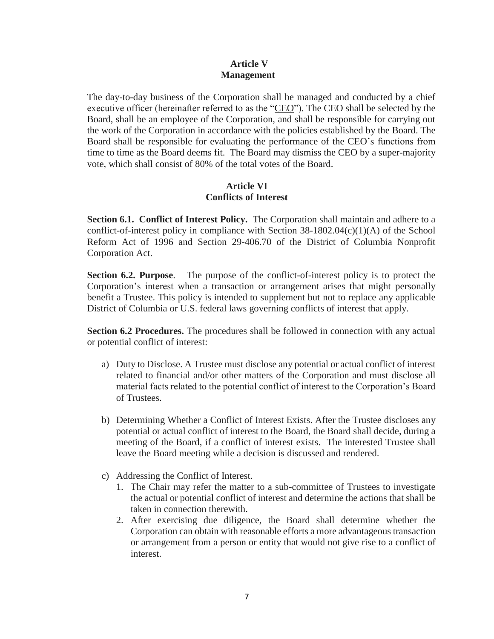## **Article V Management**

The day-to-day business of the Corporation shall be managed and conducted by a chief executive officer (hereinafter referred to as the "CEO"). The CEO shall be selected by the Board, shall be an employee of the Corporation, and shall be responsible for carrying out the work of the Corporation in accordance with the policies established by the Board. The Board shall be responsible for evaluating the performance of the CEO's functions from time to time as the Board deems fit. The Board may dismiss the CEO by a super-majority vote, which shall consist of 80% of the total votes of the Board.

# **Article VI Conflicts of Interest**

**Section 6.1. Conflict of Interest Policy.** The Corporation shall maintain and adhere to a conflict-of-interest policy in compliance with Section  $38-1802.04(c)(1)(A)$  of the School Reform Act of 1996 and Section 29-406.70 of the District of Columbia Nonprofit Corporation Act.

**Section 6.2. Purpose**. The purpose of the conflict-of-interest policy is to protect the Corporation's interest when a transaction or arrangement arises that might personally benefit a Trustee. This policy is intended to supplement but not to replace any applicable District of Columbia or U.S. federal laws governing conflicts of interest that apply.

**Section 6.2 Procedures.** The procedures shall be followed in connection with any actual or potential conflict of interest:

- a) Duty to Disclose. A Trustee must disclose any potential or actual conflict of interest related to financial and/or other matters of the Corporation and must disclose all material facts related to the potential conflict of interest to the Corporation's Board of Trustees.
- b) Determining Whether a Conflict of Interest Exists. After the Trustee discloses any potential or actual conflict of interest to the Board, the Board shall decide, during a meeting of the Board, if a conflict of interest exists. The interested Trustee shall leave the Board meeting while a decision is discussed and rendered.
- c) Addressing the Conflict of Interest.
	- 1. The Chair may refer the matter to a sub-committee of Trustees to investigate the actual or potential conflict of interest and determine the actions that shall be taken in connection therewith.
	- 2. After exercising due diligence, the Board shall determine whether the Corporation can obtain with reasonable efforts a more advantageous transaction or arrangement from a person or entity that would not give rise to a conflict of interest.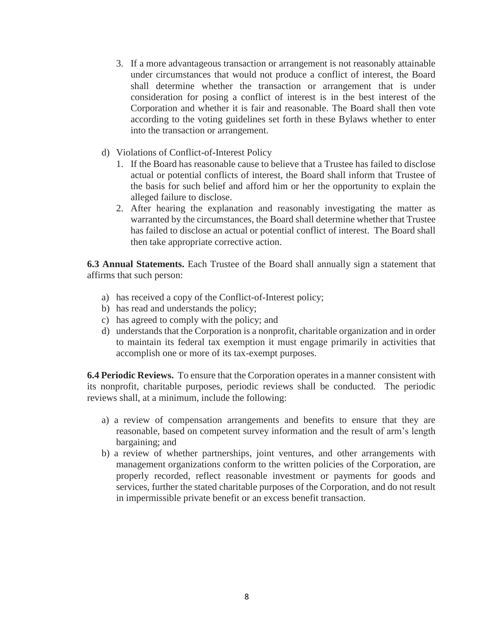- 3. If a more advantageous transaction or arrangement is not reasonably attainable under circumstances that would not produce a conflict of interest, the Board shall determine whether the transaction or arrangement that is under consideration for posing a conflict of interest is in the best interest of the Corporation and whether it is fair and reasonable. The Board shall then vote according to the voting guidelines set forth in these Bylaws whether to enter into the transaction or arrangement.
- d) Violations of Conflict-of-Interest Policy
	- 1. If the Board has reasonable cause to believe that a Trustee has failed to disclose actual or potential conflicts of interest, the Board shall inform that Trustee of the basis for such belief and afford him or her the opportunity to explain the alleged failure to disclose.
	- 2. After hearing the explanation and reasonably investigating the matter as warranted by the circumstances, the Board shall determine whether that Trustee has failed to disclose an actual or potential conflict of interest. The Board shall then take appropriate corrective action.

**6.3 Annual Statements.** Each Trustee of the Board shall annually sign a statement that affirms that such person:

- a) has received a copy of the Conflict-of-Interest policy;
- b) has read and understands the policy;
- c) has agreed to comply with the policy; and
- d) understands that the Corporation is a nonprofit, charitable organization and in order to maintain its federal tax exemption it must engage primarily in activities that accomplish one or more of its tax-exempt purposes.

**6.4 Periodic Reviews.** To ensure that the Corporation operates in a manner consistent with its nonprofit, charitable purposes, periodic reviews shall be conducted. The periodic reviews shall, at a minimum, include the following:

- a) a review of compensation arrangements and benefits to ensure that they are reasonable, based on competent survey information and the result of arm's length bargaining; and
- b) a review of whether partnerships, joint ventures, and other arrangements with management organizations conform to the written policies of the Corporation, are properly recorded, reflect reasonable investment or payments for goods and services, further the stated charitable purposes of the Corporation, and do not result in impermissible private benefit or an excess benefit transaction.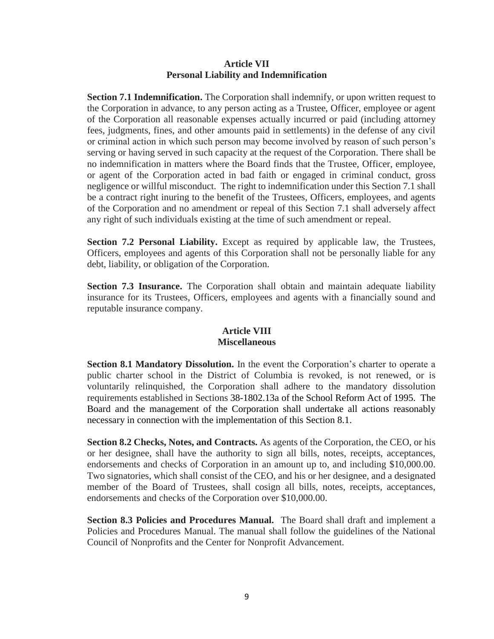### **Article VII Personal Liability and Indemnification**

**Section 7.1 Indemnification.** The Corporation shall indemnify, or upon written request to the Corporation in advance, to any person acting as a Trustee, Officer, employee or agent of the Corporation all reasonable expenses actually incurred or paid (including attorney fees, judgments, fines, and other amounts paid in settlements) in the defense of any civil or criminal action in which such person may become involved by reason of such person's serving or having served in such capacity at the request of the Corporation. There shall be no indemnification in matters where the Board finds that the Trustee, Officer, employee, or agent of the Corporation acted in bad faith or engaged in criminal conduct, gross negligence or willful misconduct. The right to indemnification under this Section 7.1 shall be a contract right inuring to the benefit of the Trustees, Officers, employees, and agents of the Corporation and no amendment or repeal of this Section 7.1 shall adversely affect any right of such individuals existing at the time of such amendment or repeal.

**Section 7.2 Personal Liability.** Except as required by applicable law, the Trustees, Officers, employees and agents of this Corporation shall not be personally liable for any debt, liability, or obligation of the Corporation.

**Section 7.3 Insurance.** The Corporation shall obtain and maintain adequate liability insurance for its Trustees, Officers, employees and agents with a financially sound and reputable insurance company.

# **Article VIII Miscellaneous**

**Section 8.1 Mandatory Dissolution.** In the event the Corporation's charter to operate a public charter school in the District of Columbia is revoked, is not renewed, or is voluntarily relinquished, the Corporation shall adhere to the mandatory dissolution requirements established in Sections 38-1802.13a of the School Reform Act of 1995. The Board and the management of the Corporation shall undertake all actions reasonably necessary in connection with the implementation of this Section 8.1.

**Section 8.2 Checks, Notes, and Contracts.** As agents of the Corporation, the CEO, or his or her designee, shall have the authority to sign all bills, notes, receipts, acceptances, endorsements and checks of Corporation in an amount up to, and including \$10,000.00. Two signatories, which shall consist of the CEO, and his or her designee, and a designated member of the Board of Trustees, shall cosign all bills, notes, receipts, acceptances, endorsements and checks of the Corporation over \$10,000.00.

**Section 8.3 Policies and Procedures Manual.** The Board shall draft and implement a Policies and Procedures Manual. The manual shall follow the guidelines of the National Council of Nonprofits and the Center for Nonprofit Advancement.